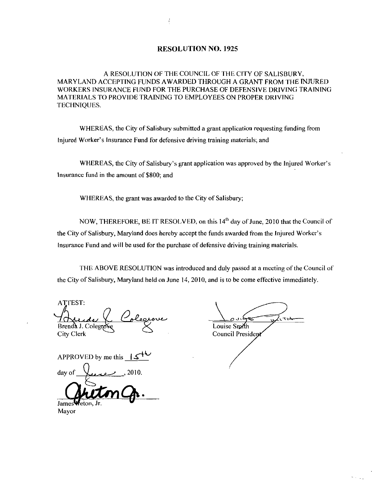#### **RESOLUTION NO. 1925**

A RESOLUTION OF THE COUNCIL OF THE CITY OF SALISBURY MARYLAND ACCEPTING FUNDS AWARDED THROUGH A GRANT FROM THE INJURED WORKERS INSURANCE FUND FOR THE PURCHASE OF DEFENSIVE DRIVING TRAINING MATERIALS TO PROVIDE TRAINING TO EMPLOYEES ON PROPER DRIVING TECHNIQUES

WHEREAS, the City of Salisbury submitted a grant application requesting funding from Injured Worker's Insurance Fund for defensive driving training materials; and

WHEREAS, the City of Salisbury's grant application was approved by the Injured Worker's Insurance fund in the amount of \$800; and

WHEREAS, the grant was awarded to the City of Salisbury;

NOW, THEREFORE, BE IT RESOLVED, on this  $14<sup>th</sup>$  day of June, 2010 that the Council of the City of Salisbury, Maryland does hereby accept the funds awarded from the Injured Worker's Insurance Fund and will be used for the purchase of defensive driving training materials.

THE ABOVE RESOLUTION was introduced and duly passed at <sup>a</sup> meeting ofthe Council of the City of Salisbury, Maryland held on June 14, 2010, and is to be come effective immediately.

ATTEST Brenda J. Colegra Brenda J. Colegrove Maria Course Similar Course Similar Course Similar Course Similar Course Similar Course Similar School Course of President Course of President Course of President Course of President Course of President

 $\frac{1}{\frac{1}{\text{Louis Smith}}}\int_{\text{Tu}}$ 

APPROVED by me this  $\overline{\phantom{a}15}$ day of

Jame Mayor Council President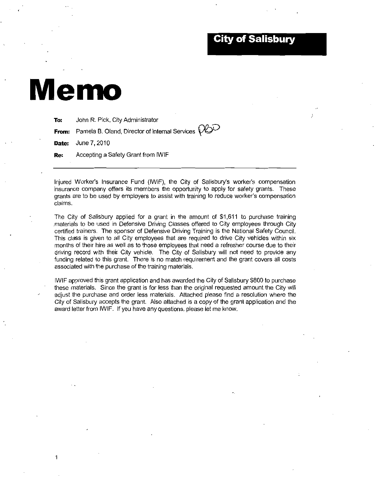### **City of Salisbury**

# Memo

To: John R. Pick, City Administrator

From: Pamela B. Oland, Director of Internal Services  $\bigcirc$ 

**Date:** June 7, 2010

Re: Accepting a Safety Grant from IWIF

**Date:** June 7, 2010<br> **Re:** Accepting a Safety Grant from IWIF<br>
Injured Worker's Insurance Fund (IWIF), the City of Salisbury's worker's compensation<br>
insurance company offers its members the opportunity to apply for safet insurance company offers its members the opportunity to apply for safety grants. These Injured Worker's Insurance Fund (IWIF), the City of Salisbury's worker's compensation<br>insurance company offers its members the opportunity to apply for safety grants. These<br>grants are to be used by employers to assist with grants are to be used by employers to assist with training to reduce worker's compensation claims.

The City of Salisbury applied for a grant in the amount of  $$1,611$  to purchase training materials to be used in Defensive Driving Classes offered to City employees through City certified trainers The sponsor of Defensive Driving Training is the National Safety Council This class is given to all City employees that are required to drive City vehicles within six months of their hire as well as to those employees that need a refresher course due to their driving record with their City vehicle. The City of Salisbury will not need to provide any funding related to this grant. There is no match requirement and the grant covers all costs associated with the purchase of the training materials

IWIF approved this grant application and has awarded the City of Salisbury 800 to purchase these materials. Since the grant is for less than the original requested amount the City will adjust the purchase and order less materials Attached please find a resolution where the City of Salisbury accepts the grant. Also attached is a copy of the grant application and the award letter from IWIF. If you have any questions, please let me know.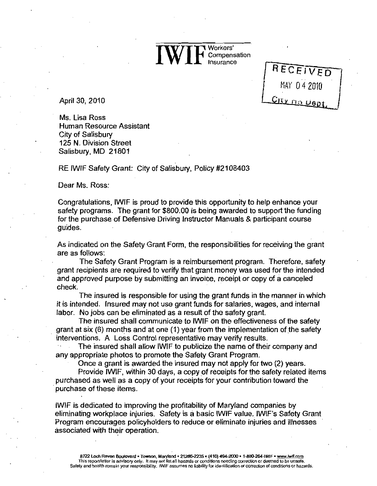IWIF<sup>Workers'</sup><br>
Insurance **▼ Workers'**<br>● Compensation Insurance

RECEIVED

April 30, 2010

Ms. Lisa Ross Human Resource Assistant City of Salisbury 125 N. Division Street Salisbury, MD 21801

RE IWIF Safety Grant: City of Salisbury, Policy #2108403

Dear Ms. Ross:

Congratulations IWIF is proud to provide this opportunity to help enhance your safety programs. The grant for \$800.00 is being awarded to support the funding for the purchase of Defensive Driving Instructor Manuals & participant course guides

As indicated on the Safety Grant Form, the responsibilities for receiving the grant are as follows:

The Safety Grant Program is a reimbursement program. Therefore, safety grant recipients are required to verify that grant money was used for the intended grant recipients are required to verify that grant money was used for the internet<br>and approved purpose by submitting an invoice, receipt or copy of a canceled The insured is responsible for using the grant funds in the manner in which

it is intended. Insured may not use grant funds for salaries, wages, and internal

labor. No jobs can be eliminated as a result of the safety grant.<br>The insured shall communicate to IWIF on the effectiveness of the safety<br>grant at six (6) months and at one (1) year from the implementation of the safety<br>i

The insured shall allow IWIF to publicize the name of their company and

any appropriate photos to promote the Safety Grant Program.<br>Once a grant is awarded the insured may not apply for two (2) years.<br>Provide IWIF, within 30 days, a copy of receipts for the safety related items purchased as well as <sup>a</sup> copy of your receipts for your contribution toward the purchase of these items

IWIF is dedicated to improving the profitability of Maryland companies by eliminating workplace injuries. Safety is a basic IWIF value. IWIF's Safety Grant Program encourages policyholders to reduce or eliminate injuries and illnesses associated with their operation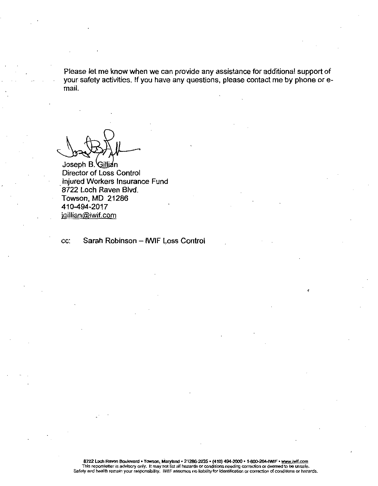prease let me know when we can provide any assistance for additional support of Please ions when we can provid<br>Pour safety activities. If you have any questions, please contact me by phone or eyour safety activities. If you have any questions, please contact me by phone or e-<br>mail.

Joseph B. Gillian Director of Loss Control Injured Workeis Insurance Fund mjured workers msurar<br>8722 Loch Raven Blvd.<br>Towson, MD\_21286<br>410-494-2017<br>jgillian@iwif.com **Towson, MD 21286** 

cc: Sarah Robinson - IWIF Loss Control

e<br>8722 Loch Ra h Raven Boulevard • Towson, Maryland • 21286-2235 • (410) 494-2000 • 1-800-264-IWIF • <u>www.lwif.com</u><br>Illetter is advisory only it may not list all hazards or conditions position correction or deemed to be upped conditions need to be undergraded to be unsafe in the same to be undergraded to be undergraded to be unsafe.<br>This report/letter is advisory only. It may not list all hazards or conditions needing correction or deemed to be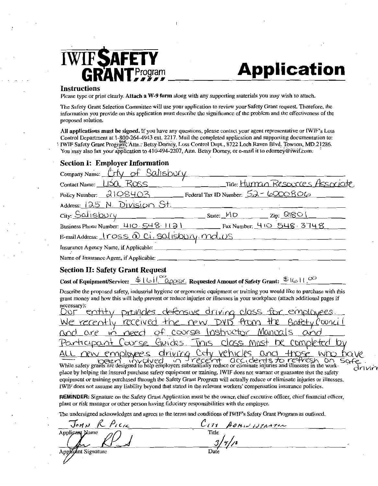

# Application

#### **Instructions**

| <b>IWIFSAFETY</b><br><b>Application</b><br><b>RANTProgram</b>                                                                                                                                                                                                                                                                                                                                                                                                      |
|--------------------------------------------------------------------------------------------------------------------------------------------------------------------------------------------------------------------------------------------------------------------------------------------------------------------------------------------------------------------------------------------------------------------------------------------------------------------|
| <b>Instructions</b><br>Please type or print clearly. Attach a W-9 form along with any supporting materials you may wish to attach.                                                                                                                                                                                                                                                                                                                                 |
| The Safety Grant Selection Committee will use your application to review your Safety Grant request. Therefore, the<br>information you provide on this application must describe the significance of the problem and the effectiveness of the<br>proposed solution.                                                                                                                                                                                                 |
| All applications must be signed. If you have any questions, please contact your agent representative or IWIF's Loss<br>Control Department at 1-800-264-4943 ext. 2217. Mail the completed application and supporting documentation to:<br>IWIF Safety Grant Program, Attn.: Betsy Dorney, Loss Control Dept., 8722 Loch Raven Blvd. Towson, MD.21286.<br>You may also fax your application to 410-494-2207, Attn. Betsy Dorney, or e-mail it to edorney @iwif.com. |
| <b>Section I: Employer Information</b>                                                                                                                                                                                                                                                                                                                                                                                                                             |
| Company Name: Crty of Salisbury                                                                                                                                                                                                                                                                                                                                                                                                                                    |
| Title: Human Resources Associate<br>Contact Name: USQ ROSS                                                                                                                                                                                                                                                                                                                                                                                                         |
| Policy Number: $2108403$ Federal Tax ID Number: $52 - 6000806$                                                                                                                                                                                                                                                                                                                                                                                                     |
| Address: 125 N. Division St.                                                                                                                                                                                                                                                                                                                                                                                                                                       |
| $City:$ $Satisfy$ $Solving by Py$ $Sits:$ $MD$ $Zip:$ $QlQO$                                                                                                                                                                                                                                                                                                                                                                                                       |
| Business Phone Number: 410 - 548 1121 Fax Number: 410 548 3748                                                                                                                                                                                                                                                                                                                                                                                                     |
| E-mail Address: $Iross$ $\hat{\Omega}$ $Ci$ . Salisbury. $md, \upsilon s$                                                                                                                                                                                                                                                                                                                                                                                          |
| Insurance Agency Name, if Applicable:                                                                                                                                                                                                                                                                                                                                                                                                                              |
| Name of Insurance Agent, if Applicable:                                                                                                                                                                                                                                                                                                                                                                                                                            |

#### **Section II: Safety Grant Request**

Cost of Equipment/Service:  $\frac{1}{\Phi}$  | 6 |  $\frac{1}{\Phi}$  applier Requested Amount of Safety Grant:  $\frac{1}{\Phi}$  | 1,00

Describe the proposed safety, industrial hygiene or ergonomic equipment or training you would like to purchase with this grant money and how this will help prevent or reduce injuries or illnesses in your workplace (attach additional pages if necessary):

Name of Insurance Agent, if Applicable:<br>
Section II: Safety Grant Request<br>
Cost of Equipment/Service:  $\frac{1}{2}$  i( $\frac{1}{2}$   $\frac{2}{2}$   $\frac{2}{2}$  Requested Amount of Safety Grant:  $\frac{1}{2}$   $\frac{1}{2}$   $\frac{1}{2}$ <br>
Describe the Safety Grant Request<br>
ment/Service: \$161. "Qqxxx. Requested Amount of<br>
oposed safety, industrial hygiene or ergonomic equipment or tra<br>
d how this will help prevent or reduce injuries or illnesses in yo<br>
the trew DVD C<br>
Co We recently received the new DVD tham the Batety Council<br>and are in need of course Instructor Manuals and<br>Participant Course Guides. This class must be completed by<br>ALL new employees driving City vehicles and those who hav Manuals and<br>
must be completed by<br>
s and those who have<br>
dersts to refresh on safe<br>
in the work.<br>
derst of maranter that the esfety place by helping the insured purchase safety equipment or training, IWIF does not warrant or guarantee that the safety rike<br>Ge<br>drivin

equipment or training purchased through the Safety Grant Program will actually reduce or eliminate injuries or illnesses.<br>IWIF does not assume any liability beyond that stated in the relevant workers' compensation insuranc

**REMINDER:** Signature on the Safety Grant Application must be the owner, chief executive officer, chief financial officer<br>plant or risk manager or other person having fiduciary responsibilities with the employer.<br>The under

| Тонл<br>$P_{\ell}$ cic | U171<br>ADMIN ISTRATOR |  |
|------------------------|------------------------|--|
| Applicant Name         | Title                  |  |
| ᄴ                      | مداد                   |  |
| Applicant Signature    | Date                   |  |
|                        |                        |  |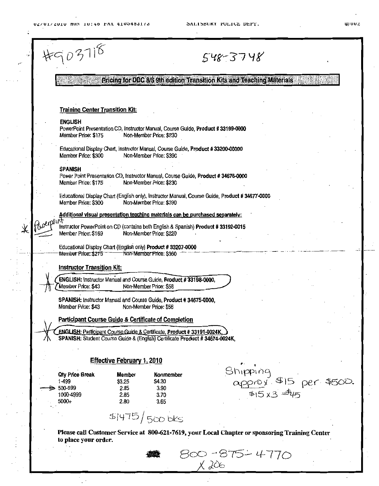lJUVG



Please call Customer Service at 800-621-7619, your Local Chapter or sponsoring Training Center to place your order

800-875-4770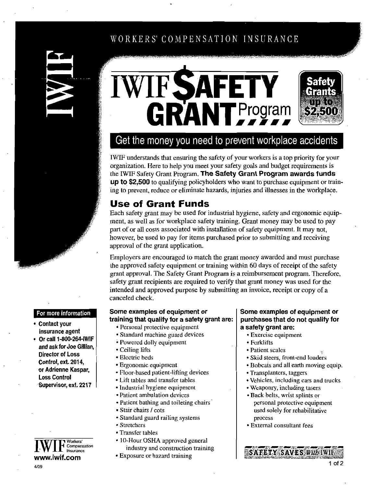# WORKERS' COMPENSATION INSURANCE







## Get the money you need to prevent workplace accidents

IWIF understands that ensuring the safety of your workers is a top priority for your organization Here to help you meet your safety goals and budget requirements is the IWIF Safety Grant Program. The Safety Grant Program awards funds up to \$2,500 to qualifying policyholders who want to purchase equipment or training to prevent, reduce or eliminate hazards, injuries and illnesses in the workplace.

### **Use of Grant Funds**

Each safety grant may be used for industrial hygiene, safety and ergonomic equipment, as well as for workplace safety training. Grant money may be used to pay part of or all costs associated with installation of safety equipment. It may not, however, be used to pay for items purchased prior to submitting and receiving approval of the grant application

Employers are encouraged to match the grant money awarded and must purchase the approved safety equipment or training within 60 days of receipt of the safety grant approval. The Safety Grant Program is a reimbursement program. Therefore, safety grant recipients are required to verify that grant money was used for the intended and approved purpose by submitting an invoice, receipt or copy of a canceled check

- Contact your Personal protective equipment Insurance agent Standard machine guard devices
- For more information<br>
Contact your<br>
insurance agent<br>
Or call 1-800-264-IWIF<br>
and ask for Joe Gillian,<br>
Director of Loss Powered dolly eyuipment and askfor Joe Gillian Ceiling lifts Director of Loss Control, ext. 2014, **Example 2014,**<br> **Example 2014,**<br> **Example 2014 Floor-based patient-lifting devices**<br> **Example 2014 Property Setting devices**<br> **Example 2014 Property Setting devices** Loss Control **Lift tables and transfer tables**<br>
Supervisor, ext. 2217



## Some examples of equipment or training that qualify for a safety grant are:<br>• Personal protective equipment

- 
- 
- 
- 
- Electric beds
- 
- 
- 
- Industrial hygiene equipment
- Patient ambulation devices
- Patient bathing and toileting chairs
- Stair chairs / cots
- Standard guard railing systems
- Stretchers
- Transfer tables
- France 10-Hour OSHA approved general<br>
Fransfer tables<br>
Transfer tables<br>
The 10-Hour OSHA approved general<br>
Insurance industry and construction train Workers' <br>
Compensation IO-Hour OSHA approved general<br>
Insurance industry and construction training<br>
Com Exposure or hazard training
	-

#### Some examples of equipment or purchases that do not qualify for a safety grant are

- Exercise equipment
- Forklifts
- Patient scales
- Skid steers, front-end loaders
- Bobcats and all earth moving equip
- Transplanters, taggers
- Vehicles, including cars and trucks
- Weaponry, including tasers
- Back belts, wrist splints or personal protective equipment used solely for rehabilitative process
- External consultant fees

<sup>1</sup> of 2